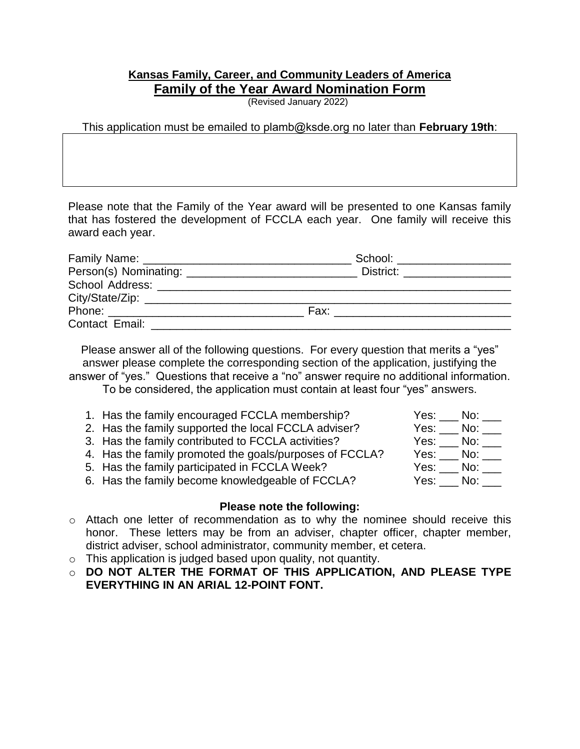## **Kansas Family, Career, and Community Leaders of America Family of the Year Award Nomination Form**

(Revised January 2022)

This application must be emailed to plamb@ksde.org no later than **February 19th**:

Please note that the Family of the Year award will be presented to one Kansas family that has fostered the development of FCCLA each year. One family will receive this award each year.

|                                       | School: _____________________   |  |  |  |  |  |  |
|---------------------------------------|---------------------------------|--|--|--|--|--|--|
|                                       | District: _____________________ |  |  |  |  |  |  |
|                                       |                                 |  |  |  |  |  |  |
| City/State/Zip: _____________________ |                                 |  |  |  |  |  |  |
| Phone: _______________________        | Fax: _________________          |  |  |  |  |  |  |
| Contact Email:                        |                                 |  |  |  |  |  |  |

Please answer all of the following questions. For every question that merits a "yes" answer please complete the corresponding section of the application, justifying the answer of "yes." Questions that receive a "no" answer require no additional information.

To be considered, the application must contain at least four "yes" answers.

1. Has the family encouraged FCCLA membership? Yes: \_\_\_ No: \_\_\_ 2. Has the family supported the local FCCLA adviser? Yes: \_\_\_ No: \_\_\_<br>3. Has the family contributed to FCCLA activities? Yes: \_\_\_ No: \_\_\_ 3. Has the family contributed to FCCLA activities? 4. Has the family promoted the goals/purposes of FCCLA? Yes: \_\_\_ No: \_\_\_ 5. Has the family participated in FCCLA Week? Yes: \_\_\_ No: \_\_\_ 6. Has the family become knowledgeable of FCCLA? Yes: No:

## **Please note the following:**

- o Attach one letter of recommendation as to why the nominee should receive this honor. These letters may be from an adviser, chapter officer, chapter member, district adviser, school administrator, community member, et cetera.
- o This application is judged based upon quality, not quantity.
- o **DO NOT ALTER THE FORMAT OF THIS APPLICATION, AND PLEASE TYPE EVERYTHING IN AN ARIAL 12-POINT FONT.**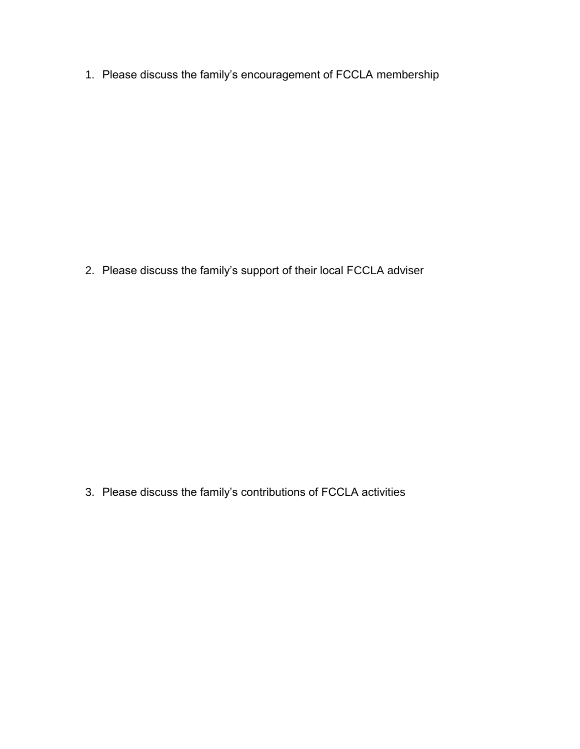1. Please discuss the family's encouragement of FCCLA membership

2. Please discuss the family's support of their local FCCLA adviser

3. Please discuss the family's contributions of FCCLA activities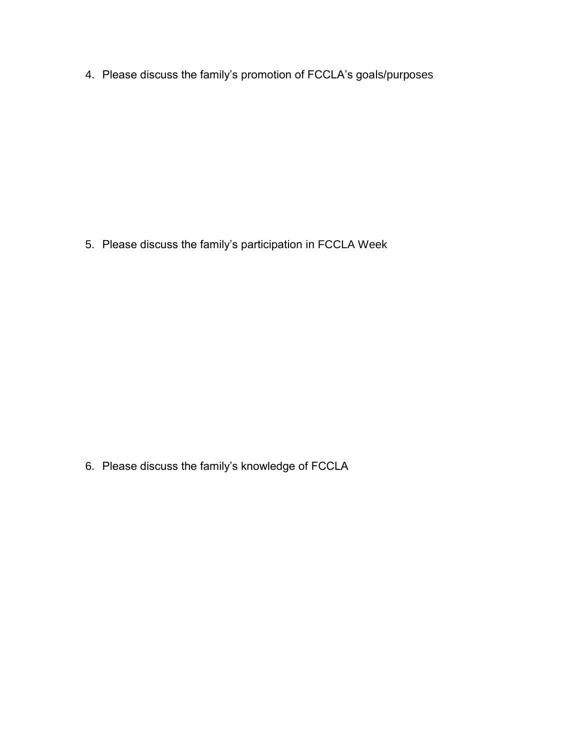4. Please discuss the family's promotion of FCCLA's goals/purposes

5. Please discuss the family's participation in FCCLA Week

6. Please discuss the family's knowledge of FCCLA